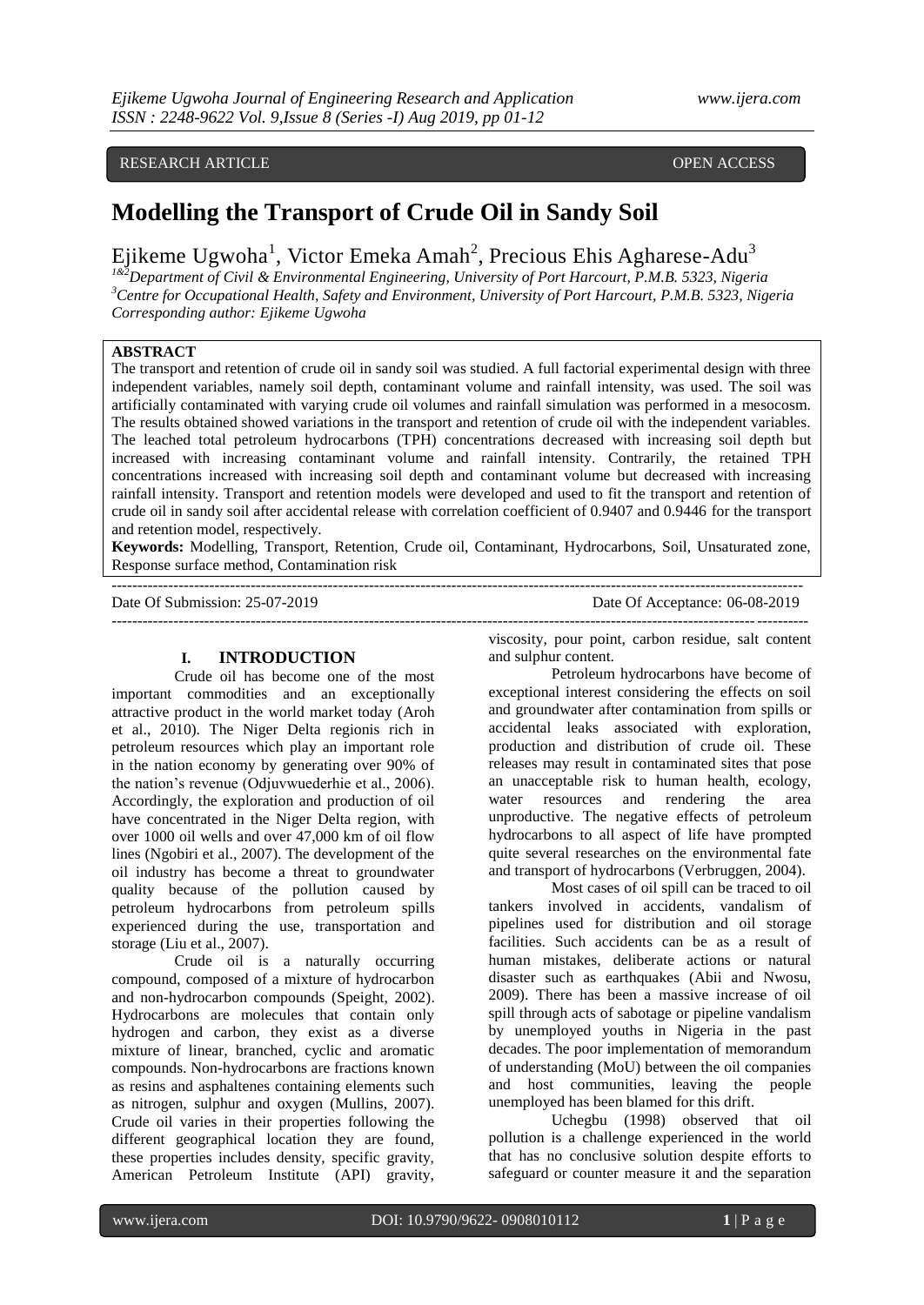### RESEARCH ARTICLE **CONSERVERS** OPEN ACCESS

## **Modelling the Transport of Crude Oil in Sandy Soil**

Ejikeme Ugwoha<sup>1</sup>, Victor Emeka Amah<sup>2</sup>, Precious Ehis Agharese-Adu<sup>3</sup>

*1&2Department of Civil & Environmental Engineering, University of Port Harcourt, P.M.B. 5323, Nigeria <sup>3</sup>Centre for Occupational Health, Safety and Environment, University of Port Harcourt, P.M.B. 5323, Nigeria Corresponding author: Ejikeme Ugwoha*

#### **ABSTRACT**

The transport and retention of crude oil in sandy soil was studied. A full factorial experimental design with three independent variables, namely soil depth, contaminant volume and rainfall intensity, was used. The soil was artificially contaminated with varying crude oil volumes and rainfall simulation was performed in a mesocosm. The results obtained showed variations in the transport and retention of crude oil with the independent variables. The leached total petroleum hydrocarbons (TPH) concentrations decreased with increasing soil depth but increased with increasing contaminant volume and rainfall intensity. Contrarily, the retained TPH concentrations increased with increasing soil depth and contaminant volume but decreased with increasing rainfall intensity. Transport and retention models were developed and used to fit the transport and retention of crude oil in sandy soil after accidental release with correlation coefficient of 0.9407 and 0.9446 for the transport and retention model, respectively.

**Keywords:** Modelling, Transport, Retention, Crude oil, Contaminant, Hydrocarbons, Soil, Unsaturated zone, Response surface method, Contamination risk --------------------------------------------------------------------------------------------------------------------------------------

---------------------------------------------------------------------------------------------------------------------------------------

Date Of Submission: 25-07-2019 Date Of Acceptance: 06-08-2019

#### **I. INTRODUCTION**

Crude oil has become one of the most important commodities and an exceptionally attractive product in the world market today (Aroh et al., 2010). The Niger Delta regionis rich in petroleum resources which play an important role in the nation economy by generating over 90% of the nation's revenue (Odjuvwuederhie et al., 2006). Accordingly, the exploration and production of oil have concentrated in the Niger Delta region, with over 1000 oil wells and over 47,000 km of oil flow lines (Ngobiri et al., 2007). The development of the oil industry has become a threat to groundwater quality because of the pollution caused by petroleum hydrocarbons from petroleum spills experienced during the use, transportation and storage (Liu et al., 2007).

Crude oil is a naturally occurring compound, composed of a mixture of hydrocarbon and non-hydrocarbon compounds (Speight, 2002). Hydrocarbons are molecules that contain only hydrogen and carbon, they exist as a diverse mixture of linear, branched, cyclic and aromatic compounds. Non-hydrocarbons are fractions known as resins and asphaltenes containing elements such as nitrogen, sulphur and oxygen (Mullins, 2007). Crude oil varies in their properties following the different geographical location they are found, these properties includes density, specific gravity, American Petroleum Institute (API) gravity, viscosity, pour point, carbon residue, salt content and sulphur content.

Petroleum hydrocarbons have become of exceptional interest considering the effects on soil and groundwater after contamination from spills or accidental leaks associated with exploration, production and distribution of crude oil. These releases may result in contaminated sites that pose an unacceptable risk to human health, ecology, water resources and rendering the area unproductive. The negative effects of petroleum hydrocarbons to all aspect of life have prompted quite several researches on the environmental fate and transport of hydrocarbons (Verbruggen, 2004).

Most cases of oil spill can be traced to oil tankers involved in accidents, vandalism of pipelines used for distribution and oil storage facilities. Such accidents can be as a result of human mistakes, deliberate actions or natural disaster such as earthquakes (Abii and Nwosu, 2009). There has been a massive increase of oil spill through acts of sabotage or pipeline vandalism by unemployed youths in Nigeria in the past decades. The poor implementation of memorandum of understanding (MoU) between the oil companies and host communities, leaving the people unemployed has been blamed for this drift.

Uchegbu (1998) observed that oil pollution is a challenge experienced in the world that has no conclusive solution despite efforts to safeguard or counter measure it and the separation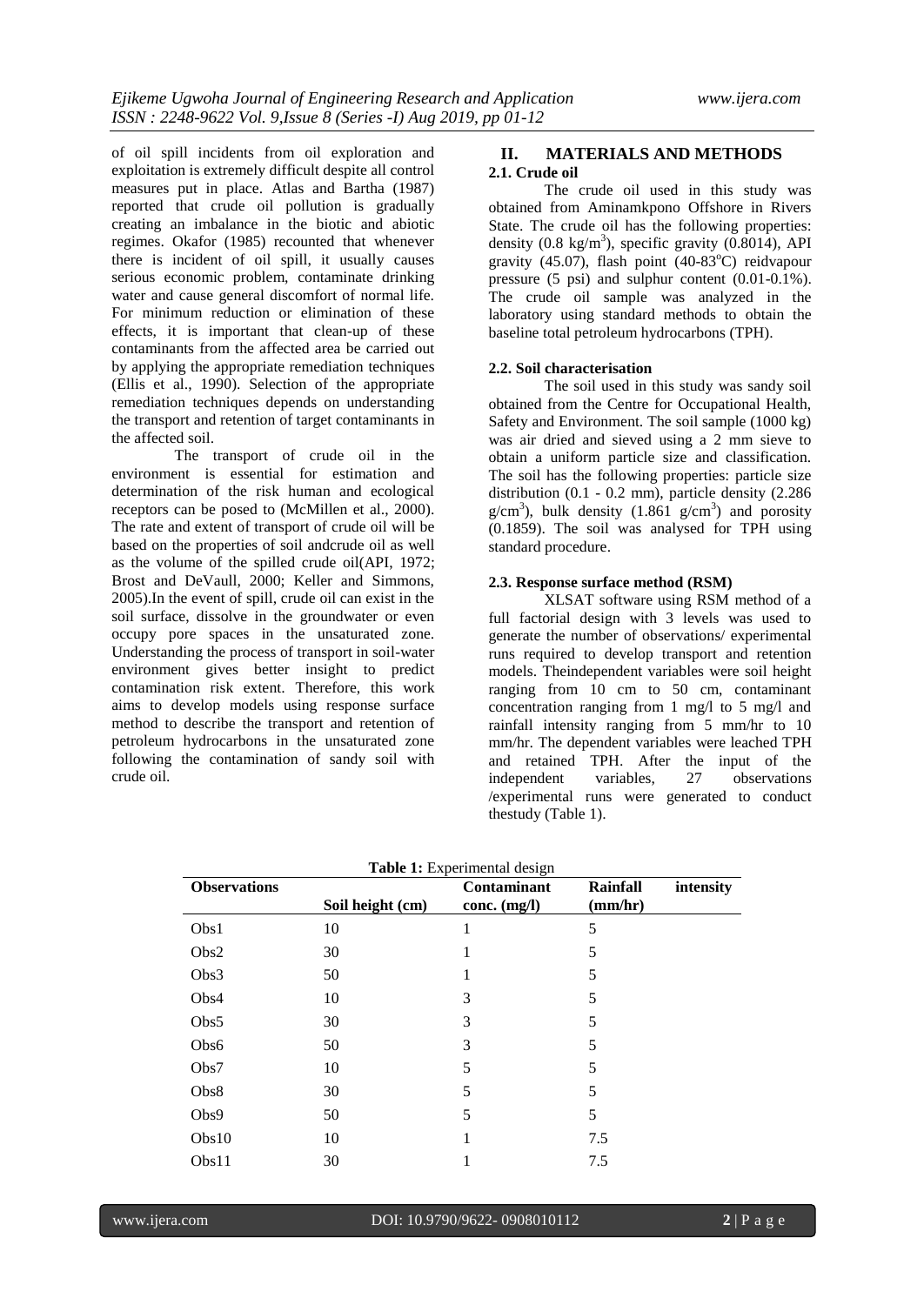of oil spill incidents from oil exploration and exploitation is extremely difficult despite all control measures put in place. Atlas and Bartha (1987) reported that crude oil pollution is gradually creating an imbalance in the biotic and abiotic regimes. Okafor (1985) recounted that whenever there is incident of oil spill, it usually causes serious economic problem, contaminate drinking water and cause general discomfort of normal life. For minimum reduction or elimination of these effects, it is important that clean-up of these contaminants from the affected area be carried out by applying the appropriate remediation techniques (Ellis et al., 1990). Selection of the appropriate remediation techniques depends on understanding the transport and retention of target contaminants in the affected soil.

The transport of crude oil in the environment is essential for estimation and determination of the risk human and ecological receptors can be posed to (McMillen et al., 2000). The rate and extent of transport of crude oil will be based on the properties of soil andcrude oil as well as the volume of the spilled crude oil(API, 1972; Brost and DeVaull, 2000; Keller and Simmons, 2005).In the event of spill, crude oil can exist in the soil surface, dissolve in the groundwater or even occupy pore spaces in the unsaturated zone. Understanding the process of transport in soil-water environment gives better insight to predict contamination risk extent. Therefore, this work aims to develop models using response surface method to describe the transport and retention of petroleum hydrocarbons in the unsaturated zone following the contamination of sandy soil with crude oil.

#### **II. MATERIALS AND METHODS 2.1. Crude oil**

The crude oil used in this study was obtained from Aminamkpono Offshore in Rivers State. The crude oil has the following properties: density  $(0.8 \text{ kg/m}^3)$ , specific gravity  $(0.8014)$ , API gravity (45.07), flash point (40-83 $^{\circ}$ C) reidvapour pressure (5 psi) and sulphur content (0.01-0.1%). The crude oil sample was analyzed in the laboratory using standard methods to obtain the baseline total petroleum hydrocarbons (TPH).

#### **2.2. Soil characterisation**

The soil used in this study was sandy soil obtained from the Centre for Occupational Health, Safety and Environment. The soil sample (1000 kg) was air dried and sieved using a 2 mm sieve to obtain a uniform particle size and classification. The soil has the following properties: particle size distribution (0.1 - 0.2 mm), particle density (2.286  $g/cm<sup>3</sup>$ ), bulk density (1.861  $g/cm<sup>3</sup>$ ) and porosity (0.1859). The soil was analysed for TPH using standard procedure.

#### **2.3. Response surface method (RSM)**

XLSAT software using RSM method of a full factorial design with 3 levels was used to generate the number of observations/ experimental runs required to develop transport and retention models. Theindependent variables were soil height ranging from 10 cm to 50 cm, contaminant concentration ranging from 1 mg/l to 5 mg/l and rainfall intensity ranging from 5 mm/hr to 10 mm/hr. The dependent variables were leached TPH and retained TPH. After the input of the independent variables, 27 observations /experimental runs were generated to conduct thestudy (Table 1).

| <b>Observations</b> | <b>Rainfall</b>  | intensity                     |         |  |
|---------------------|------------------|-------------------------------|---------|--|
|                     | Soil height (cm) | Contaminant<br>conc. $(mg/l)$ | (mm/hr) |  |
| Obs1                | 10               | 1                             | 5       |  |
| Obs2                | 30               |                               | 5       |  |
| Obs3                | 50               |                               | 5       |  |
| Obs4                | 10               | 3                             | 5       |  |
| Obs5                | 30               | 3                             | 5       |  |
| Obs6                | 50               | 3                             | 5       |  |
| Obs7                | 10               | 5                             | 5       |  |
| Obs8                | 30               | 5                             | 5       |  |
| Obs9                | 50               | 5                             | 5       |  |
| Obs10               | 10               |                               | 7.5     |  |
| Obs11               | 30               |                               | 7.5     |  |

**Table 1:** Experimental design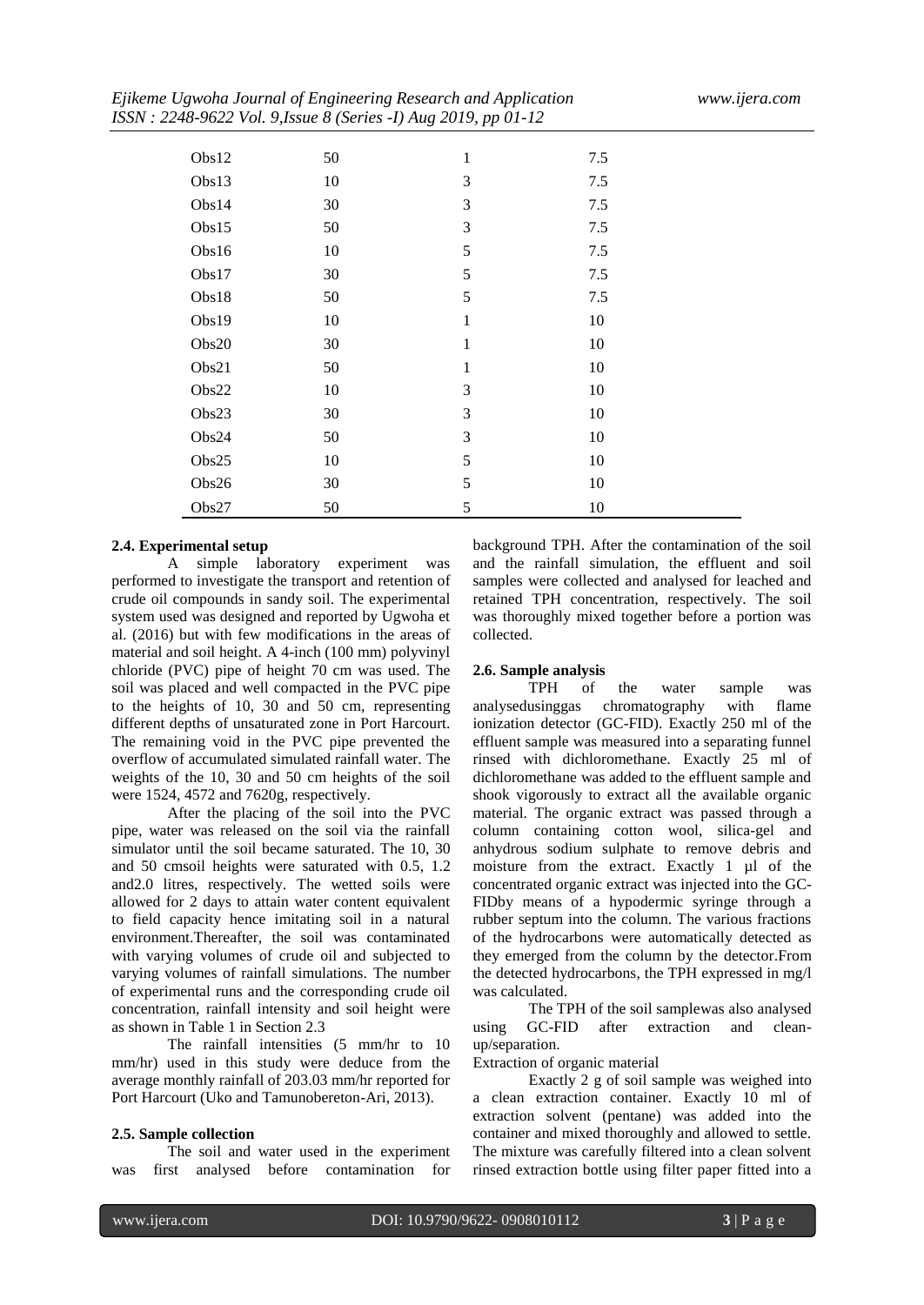|       | $\mathcal{N}$ | $\overline{\phantom{a}}$<br>$\tilde{ }$<br>$\cdot$ . |     |  |
|-------|---------------|------------------------------------------------------|-----|--|
|       |               |                                                      |     |  |
| Obs12 | 50            | $\mathbf{1}$                                         | 7.5 |  |
| Obs13 | 10            | 3                                                    | 7.5 |  |
| Obs14 | 30            | 3                                                    | 7.5 |  |
| Obs15 | 50            | 3                                                    | 7.5 |  |
| Obs16 | 10            | 5                                                    | 7.5 |  |
| Obs17 | 30            | 5                                                    | 7.5 |  |
| Obs18 | 50            | 5                                                    | 7.5 |  |
| Obs19 | 10            | 1                                                    | 10  |  |
| Obs20 | 30            | 1                                                    | 10  |  |
| Obs21 | 50            | 1                                                    | 10  |  |
| Obs22 | 10            | 3                                                    | 10  |  |
| Obs23 | 30            | 3                                                    | 10  |  |
| Obs24 | 50            | 3                                                    | 10  |  |
| Obs25 | 10            | 5                                                    | 10  |  |
| Obs26 | 30            | 5                                                    | 10  |  |
| Obs27 | 50            | 5                                                    | 10  |  |

#### **2.4. Experimental setup**

A simple laboratory experiment was performed to investigate the transport and retention of crude oil compounds in sandy soil. The experimental system used was designed and reported by Ugwoha et al. (2016) but with few modifications in the areas of material and soil height. A 4-inch (100 mm) polyvinyl chloride (PVC) pipe of height 70 cm was used. The soil was placed and well compacted in the PVC pipe to the heights of 10, 30 and 50 cm, representing different depths of unsaturated zone in Port Harcourt. The remaining void in the PVC pipe prevented the overflow of accumulated simulated rainfall water. The weights of the 10, 30 and 50 cm heights of the soil were 1524, 4572 and 7620g, respectively.

After the placing of the soil into the PVC pipe, water was released on the soil via the rainfall simulator until the soil became saturated. The 10, 30 and 50 cmsoil heights were saturated with 0.5, 1.2 and2.0 litres, respectively. The wetted soils were allowed for 2 days to attain water content equivalent to field capacity hence imitating soil in a natural environment.Thereafter, the soil was contaminated with varying volumes of crude oil and subjected to varying volumes of rainfall simulations. The number of experimental runs and the corresponding crude oil concentration, rainfall intensity and soil height were as shown in Table 1 in Section 2.3

The rainfall intensities (5 mm/hr to 10 mm/hr) used in this study were deduce from the average monthly rainfall of 203.03 mm/hr reported for Port Harcourt (Uko and Tamunobereton-Ari, 2013).

#### **2.5. Sample collection**

The soil and water used in the experiment was first analysed before contamination for

background TPH. After the contamination of the soil and the rainfall simulation, the effluent and soil samples were collected and analysed for leached and retained TPH concentration, respectively. The soil was thoroughly mixed together before a portion was collected.

# **2.6. Sample analysis**

of the water sample was analysedusinggas chromatography with flame ionization detector (GC-FID). Exactly 250 ml of the effluent sample was measured into a separating funnel rinsed with dichloromethane. Exactly 25 ml of dichloromethane was added to the effluent sample and shook vigorously to extract all the available organic material. The organic extract was passed through a column containing cotton wool, silica-gel and anhydrous sodium sulphate to remove debris and moisture from the extract. Exactly 1 µl of the concentrated organic extract was injected into the GC-FIDby means of a hypodermic syringe through a rubber septum into the column. The various fractions of the hydrocarbons were automatically detected as they emerged from the column by the detector.From the detected hydrocarbons, the TPH expressed in mg/l was calculated.

The TPH of the soil samplewas also analysed using GC-FID after extraction and cleanup/separation.

Extraction of organic material

Exactly 2 g of soil sample was weighed into a clean extraction container. Exactly 10 ml of extraction solvent (pentane) was added into the container and mixed thoroughly and allowed to settle. The mixture was carefully filtered into a clean solvent rinsed extraction bottle using filter paper fitted into a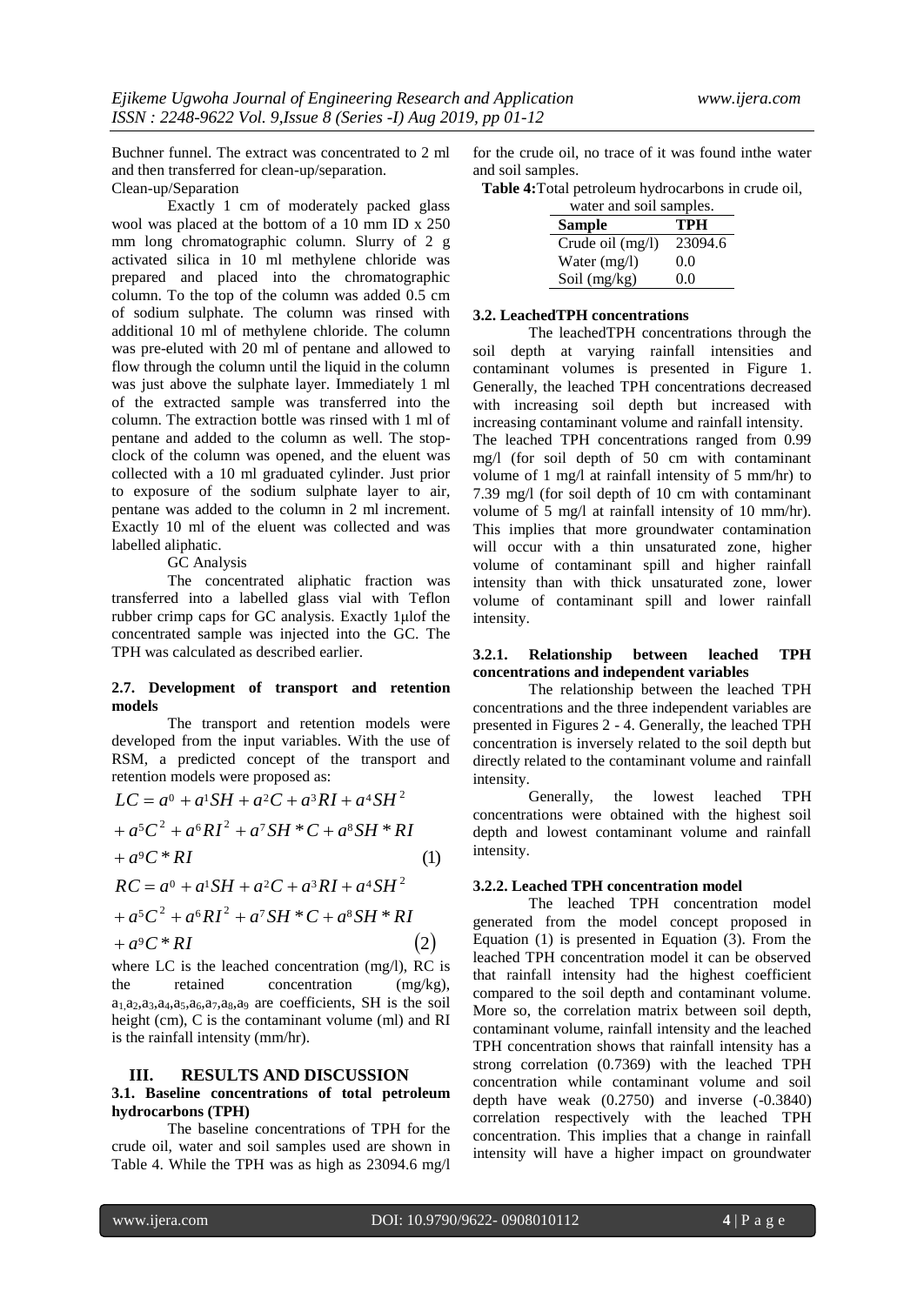Buchner funnel. The extract was concentrated to 2 ml and then transferred for clean-up/separation. Clean-up/Separation

Exactly 1 cm of moderately packed glass wool was placed at the bottom of a 10 mm ID x 250 mm long chromatographic column. Slurry of 2 g activated silica in 10 ml methylene chloride was prepared and placed into the chromatographic column. To the top of the column was added 0.5 cm of sodium sulphate. The column was rinsed with additional 10 ml of methylene chloride. The column was pre-eluted with 20 ml of pentane and allowed to flow through the column until the liquid in the column was just above the sulphate layer. Immediately 1 ml of the extracted sample was transferred into the column. The extraction bottle was rinsed with 1 ml of pentane and added to the column as well. The stopclock of the column was opened, and the eluent was collected with a 10 ml graduated cylinder. Just prior to exposure of the sodium sulphate layer to air, pentane was added to the column in 2 ml increment. Exactly 10 ml of the eluent was collected and was labelled aliphatic.

GC Analysis

The concentrated aliphatic fraction was transferred into a labelled glass vial with Teflon rubber crimp caps for GC analysis. Exactly 1μlof the concentrated sample was injected into the GC. The TPH was calculated as described earlier.

#### **2.7. Development of transport and retention models**

The transport and retention models were developed from the input variables. With the use of RSM, a predicted concept of the transport and

$$
LC = a^{0} + a^{1}SH + a^{2}C + a^{3}RI + a^{4}SH^{2}
$$
  
+ 
$$
a^{5}C^{2} + a^{6}RI^{2} + a^{7}SH * C + a^{8}SH * RI
$$
  
+ 
$$
a^{9}C * RI
$$
  
+ 
$$
RC = a^{0} + a^{1}SH + a^{2}C + a^{3}RI + a^{4}SH^{2}
$$
  
(1)

$$
RC = a^{0} + a^{1}SH + a^{2}C + a^{3}RI + a^{4}SH^{2}
$$
  
+ a<sup>5</sup>C<sup>2</sup> + a<sup>6</sup>RI<sup>2</sup> + a<sup>7</sup>SH \* C + a<sup>8</sup>SH \* RI  
+ a<sup>9</sup>C \* RI (2)

where LC is the leached concentration (mg/l), RC is the retained concentration (mg/kg),  $a_1, a_2, a_3, a_4, a_5, a_6, a_7, a_8, a_9$  are coefficients, SH is the soil height (cm), C is the contaminant volume (ml) and RI is the rainfall intensity (mm/hr).

#### **III. RESULTS AND DISCUSSION**

#### **3.1. Baseline concentrations of total petroleum hydrocarbons (TPH)**

The baseline concentrations of TPH for the crude oil, water and soil samples used are shown in Table 4. While the TPH was as high as 23094.6 mg/l

for the crude oil, no trace of it was found inthe water and soil samples.

**Table 4:**Total petroleum hydrocarbons in crude oil,

| water and soil samples. |         |  |  |  |
|-------------------------|---------|--|--|--|
| <b>Sample</b>           | TPH     |  |  |  |
| Crude oil (mg/l)        | 23094.6 |  |  |  |
| Water $(mg/l)$          | 0.0     |  |  |  |
| Soil (mg/kg)            | 0.0     |  |  |  |

#### **3.2. LeachedTPH concentrations**

The leachedTPH concentrations through the soil depth at varying rainfall intensities and contaminant volumes is presented in Figure 1. Generally, the leached TPH concentrations decreased with increasing soil depth but increased with increasing contaminant volume and rainfall intensity. The leached TPH concentrations ranged from 0.99 mg/l (for soil depth of 50 cm with contaminant volume of 1 mg/l at rainfall intensity of 5 mm/hr) to 7.39 mg/l (for soil depth of 10 cm with contaminant volume of 5 mg/l at rainfall intensity of 10 mm/hr). This implies that more groundwater contamination will occur with a thin unsaturated zone, higher volume of contaminant spill and higher rainfall intensity than with thick unsaturated zone, lower volume of contaminant spill and lower rainfall intensity.

#### **3.2.1. Relationship between leached TPH concentrations and independent variables**

The relationship between the leached TPH concentrations and the three independent variables are presented in Figures 2 - 4. Generally, the leached TPH concentration is inversely related to the soil depth but directly related to the contaminant volume and rainfall intensity.

Generally, the lowest leached TPH concentrations were obtained with the highest soil depth and lowest contaminant volume and rainfall intensity.

#### **3.2.2. Leached TPH concentration model**

The leached TPH concentration model generated from the model concept proposed in Equation (1) is presented in Equation (3). From the leached TPH concentration model it can be observed that rainfall intensity had the highest coefficient compared to the soil depth and contaminant volume. More so, the correlation matrix between soil depth, contaminant volume, rainfall intensity and the leached TPH concentration shows that rainfall intensity has a strong correlation (0.7369) with the leached TPH concentration while contaminant volume and soil depth have weak (0.2750) and inverse (-0.3840) correlation respectively with the leached TPH concentration. This implies that a change in rainfall intensity will have a higher impact on groundwater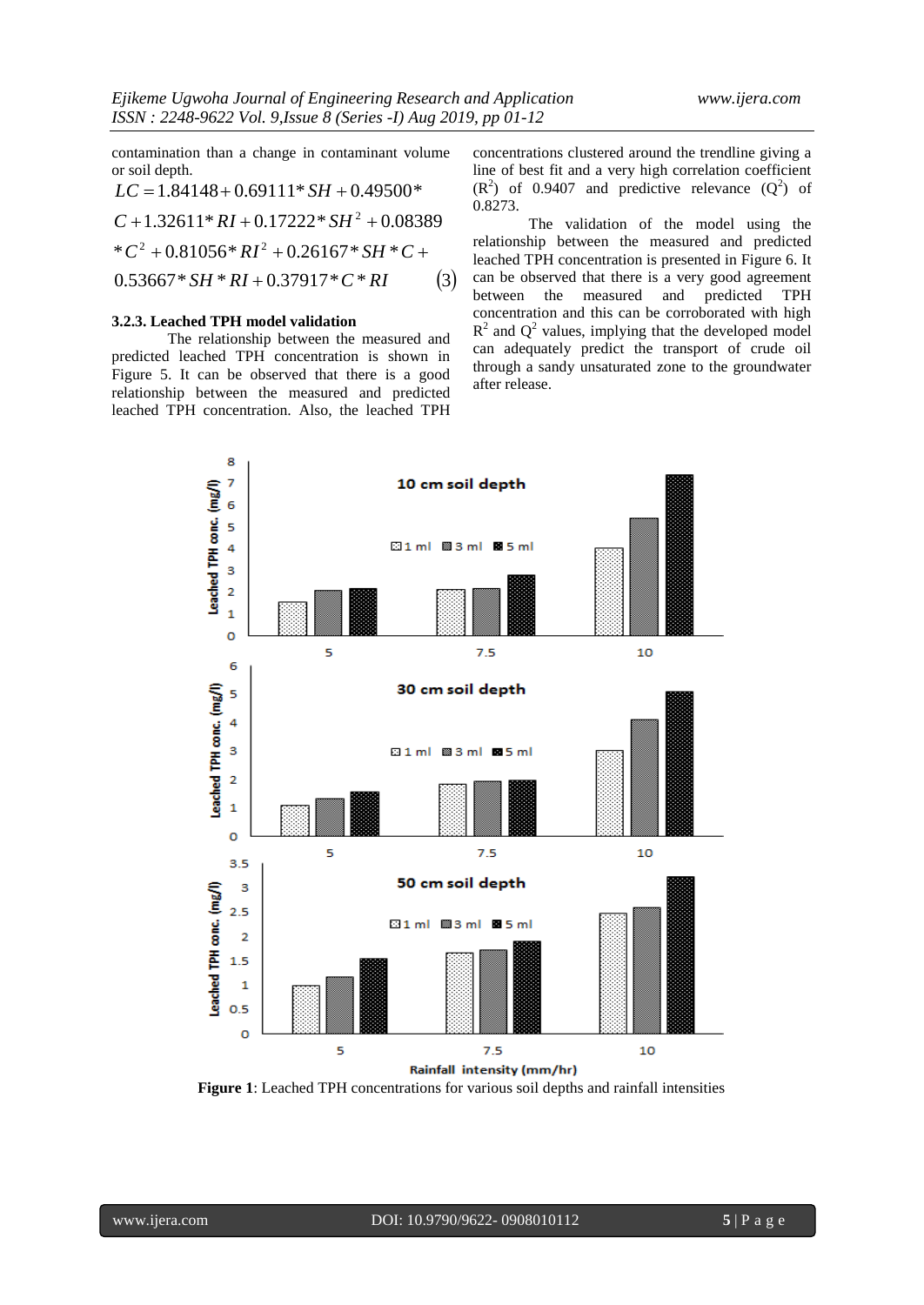contamination than a change in contaminant volume or soil depth.

$$
LC = 1.84148 + 0.69111 * SH + 0.49500*
$$
  
\n
$$
C + 1.32611 * RI + 0.17222 * SH2 + 0.08389
$$
  
\n
$$
*C2 + 0.81056 * RI2 + 0.26167 * SH * C +
$$
  
\n
$$
0.53667 * SH * RI + 0.37917 * C * RI
$$
 (3)

#### **3.2.3. Leached TPH model validation**

The relationship between the measured and predicted leached TPH concentration is shown in Figure 5. It can be observed that there is a good relationship between the measured and predicted leached TPH concentration. Also, the leached TPH concentrations clustered around the trendline giving a line of best fit and a very high correlation coefficient  $(R<sup>2</sup>)$  of 0.9407 and predictive relevance  $(Q<sup>2</sup>)$  of 0.8273.

The validation of the model using the relationship between the measured and predicted leached TPH concentration is presented in Figure 6. It can be observed that there is a very good agreement between the measured and predicted TPH concentration and this can be corroborated with high  $R<sup>2</sup>$  and  $Q<sup>2</sup>$  values, implying that the developed model can adequately predict the transport of crude oil through a sandy unsaturated zone to the groundwater after release.



**Figure 1**: Leached TPH concentrations for various soil depths and rainfall intensities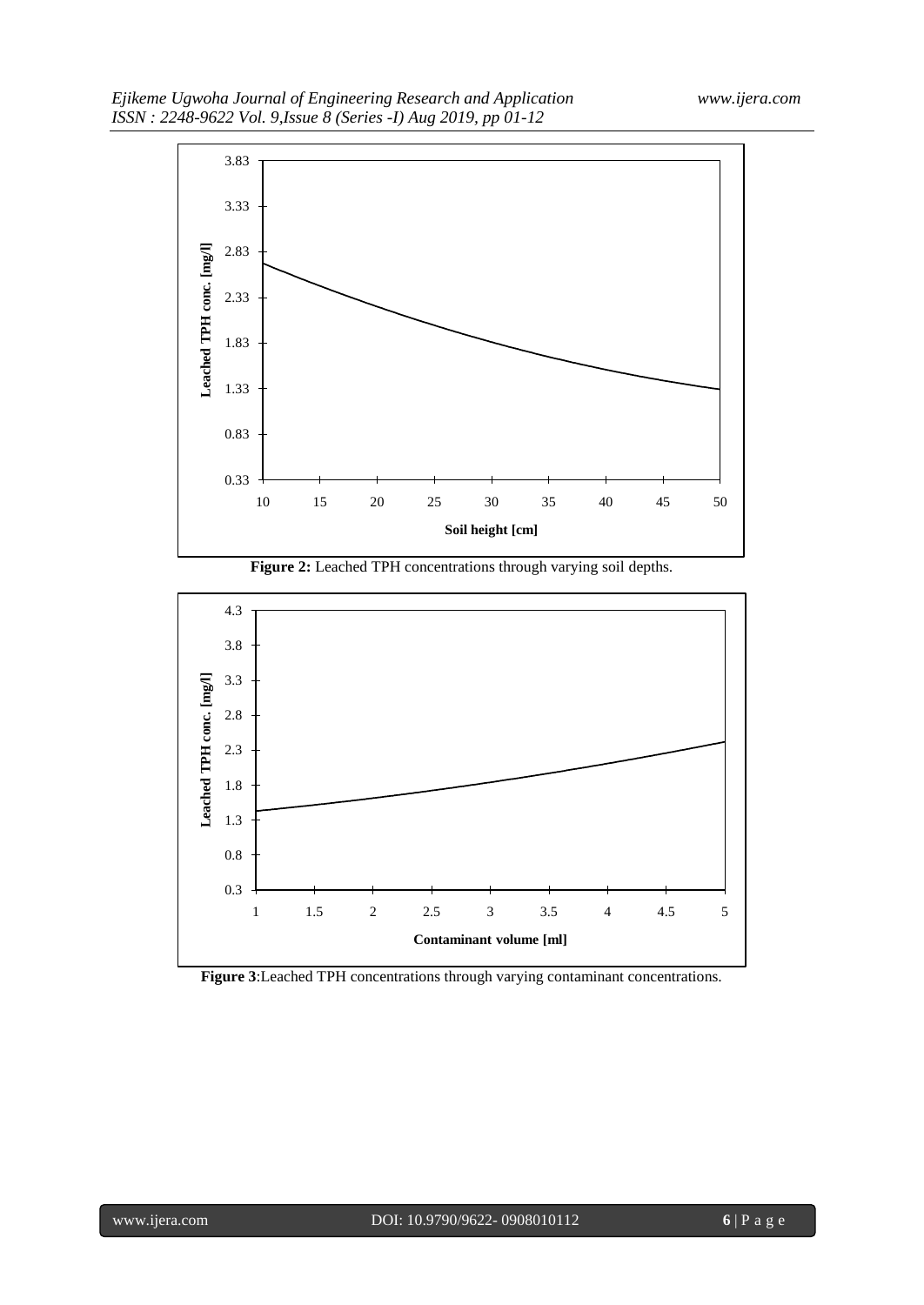

**Figure 2:** Leached TPH concentrations through varying soil depths.



**Figure 3**:Leached TPH concentrations through varying contaminant concentrations.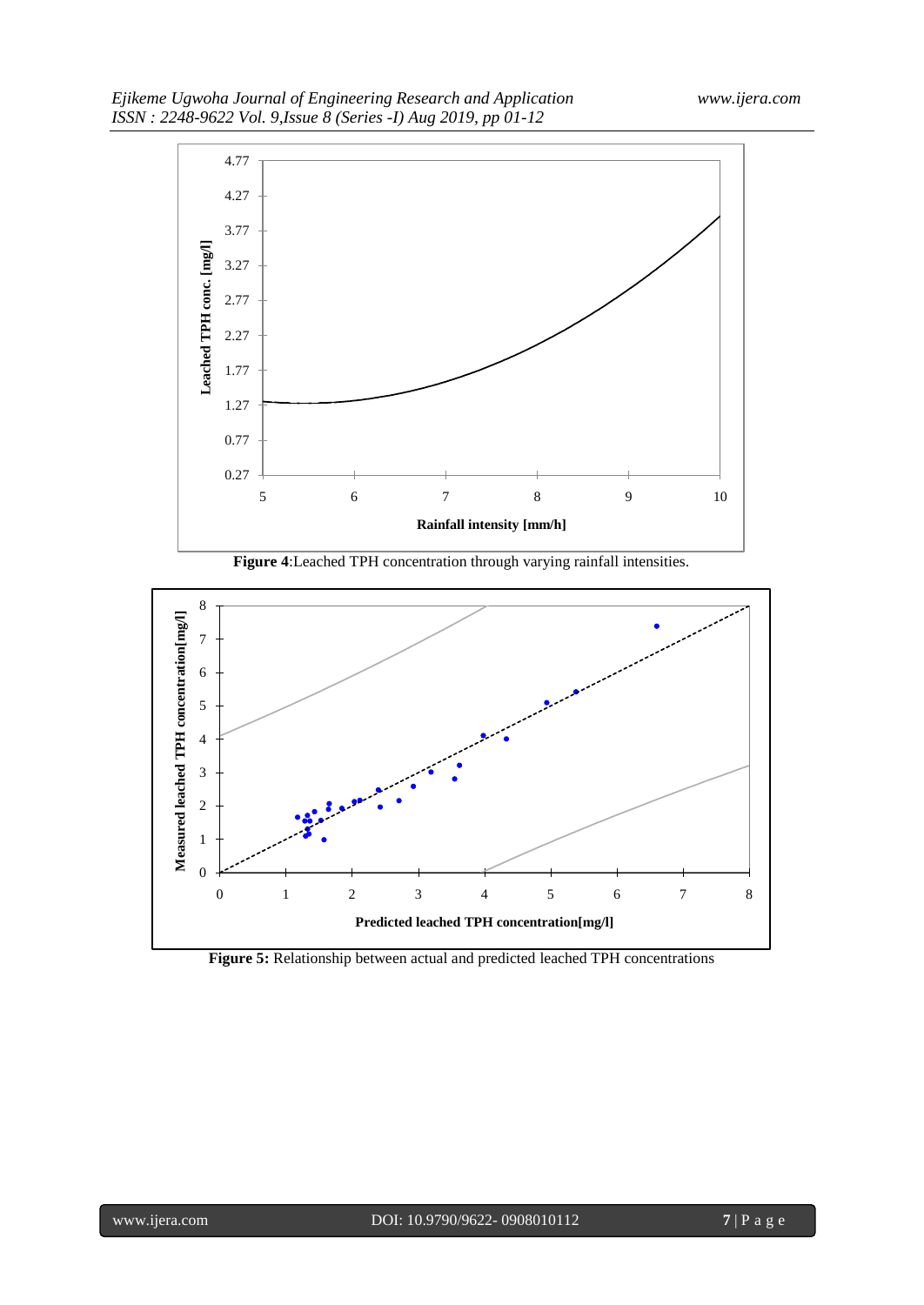





**Figure 5:** Relationship between actual and predicted leached TPH concentrations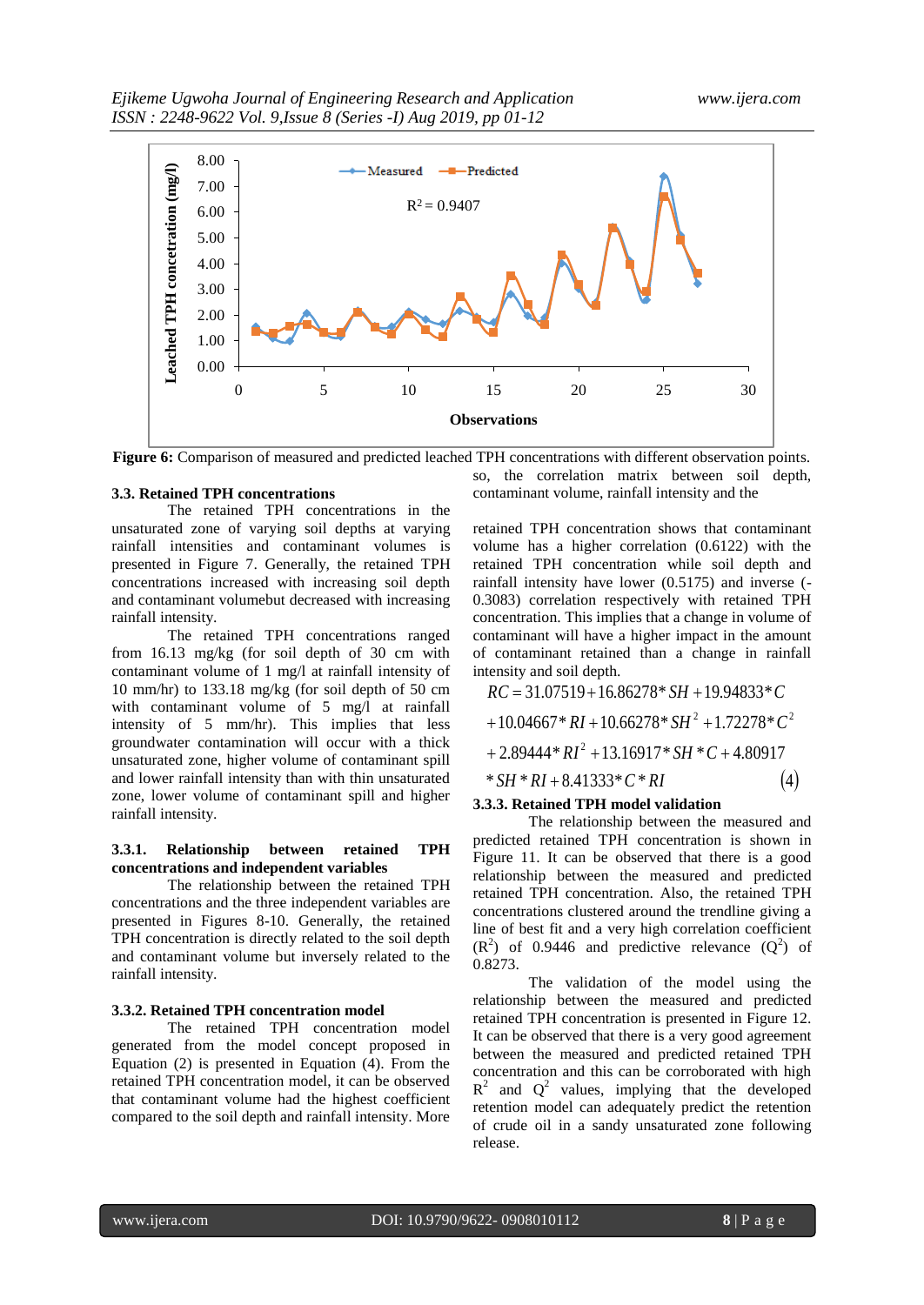

**Figure 6:** Comparison of measured and predicted leached TPH concentrations with different observation points.

#### **3.3. Retained TPH concentrations**

The retained TPH concentrations in the unsaturated zone of varying soil depths at varying rainfall intensities and contaminant volumes is presented in Figure 7. Generally, the retained TPH concentrations increased with increasing soil depth and contaminant volumebut decreased with increasing rainfall intensity.

The retained TPH concentrations ranged from 16.13 mg/kg (for soil depth of 30 cm with contaminant volume of 1 mg/l at rainfall intensity of 10 mm/hr) to 133.18 mg/kg (for soil depth of 50 cm with contaminant volume of 5 mg/l at rainfall intensity of 5 mm/hr). This implies that less groundwater contamination will occur with a thick unsaturated zone, higher volume of contaminant spill and lower rainfall intensity than with thin unsaturated zone, lower volume of contaminant spill and higher rainfall intensity.

#### **3.3.1. Relationship between retained TPH concentrations and independent variables**

The relationship between the retained TPH concentrations and the three independent variables are presented in Figures 8-10. Generally, the retained TPH concentration is directly related to the soil depth and contaminant volume but inversely related to the rainfall intensity.

#### **3.3.2. Retained TPH concentration model**

The retained TPH concentration model generated from the model concept proposed in Equation (2) is presented in Equation (4). From the retained TPH concentration model, it can be observed that contaminant volume had the highest coefficient compared to the soil depth and rainfall intensity. More

so, the correlation matrix between soil depth, contaminant volume, rainfall intensity and the

retained TPH concentration shows that contaminant volume has a higher correlation (0.6122) with the retained TPH concentration while soil depth and rainfall intensity have lower (0.5175) and inverse (- 0.3083) correlation respectively with retained TPH concentration. This implies that a change in volume of contaminant will have a higher impact in the amount of contaminant retained than a change in rainfall intensity and soil depth.

 $* SH * RI + 8.41333 * C * RI$  (4)  $+ 2.89444 * RI^2 + 13.16917 * SH * C + 4.80917$  $+10.04667 * RI + 10.66278 * SH<sup>2</sup> + 1.72278 * C<sup>2</sup>$  $RC = 31.07519 + 16.86278 * SH + 19.94833 * C$ 

#### **3.3.3. Retained TPH model validation**

The relationship between the measured and predicted retained TPH concentration is shown in Figure 11. It can be observed that there is a good relationship between the measured and predicted retained TPH concentration. Also, the retained TPH concentrations clustered around the trendline giving a line of best fit and a very high correlation coefficient  $(R<sup>2</sup>)$  of 0.9446 and predictive relevance  $(Q<sup>2</sup>)$  of 0.8273.

The validation of the model using the relationship between the measured and predicted retained TPH concentration is presented in Figure 12. It can be observed that there is a very good agreement between the measured and predicted retained TPH concentration and this can be corroborated with high  $R^2$  and  $Q^2$  values, implying that the developed retention model can adequately predict the retention of crude oil in a sandy unsaturated zone following release.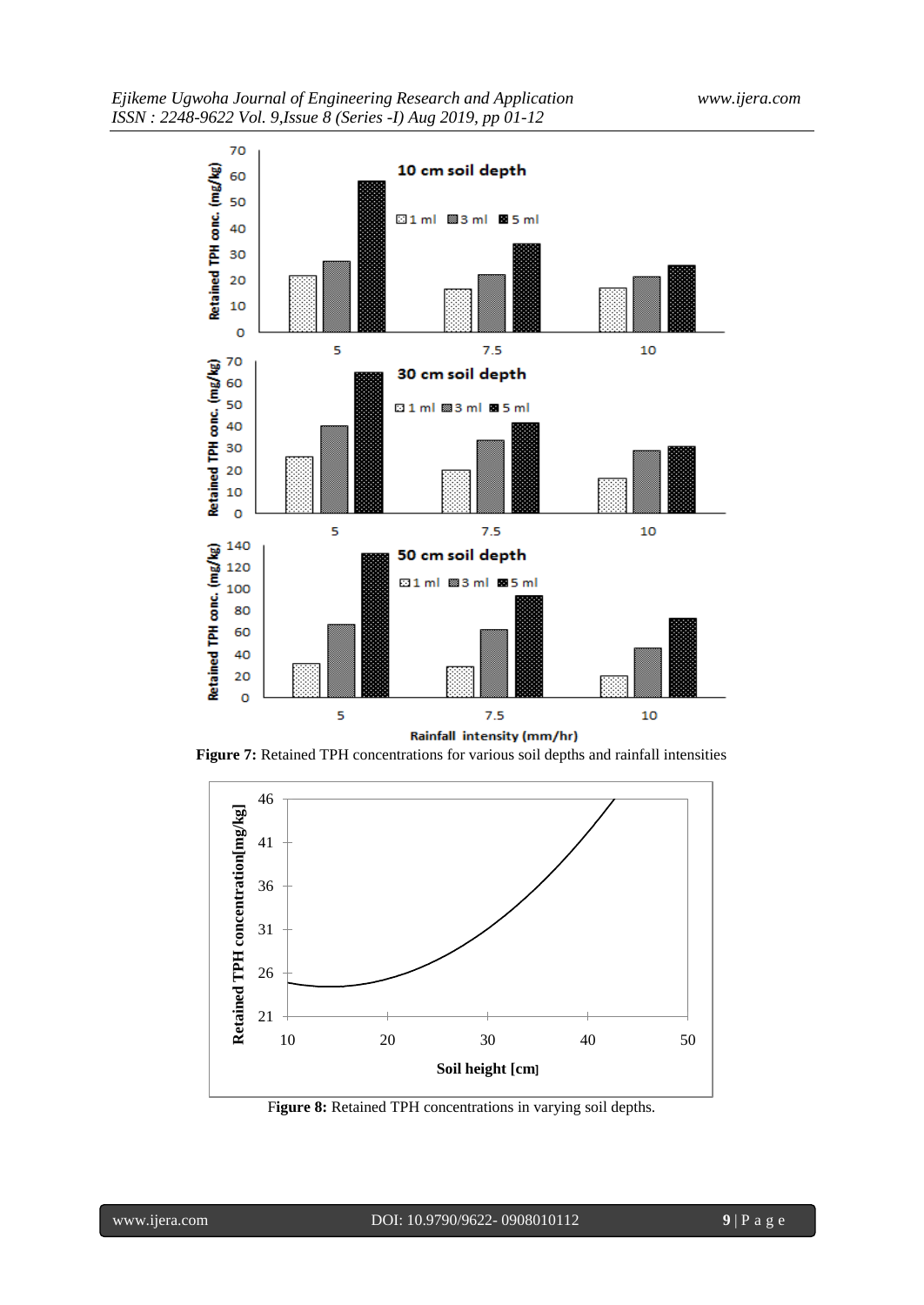

**Figure 7:** Retained TPH concentrations for various soil depths and rainfall intensities



F**igure 8:** Retained TPH concentrations in varying soil depths.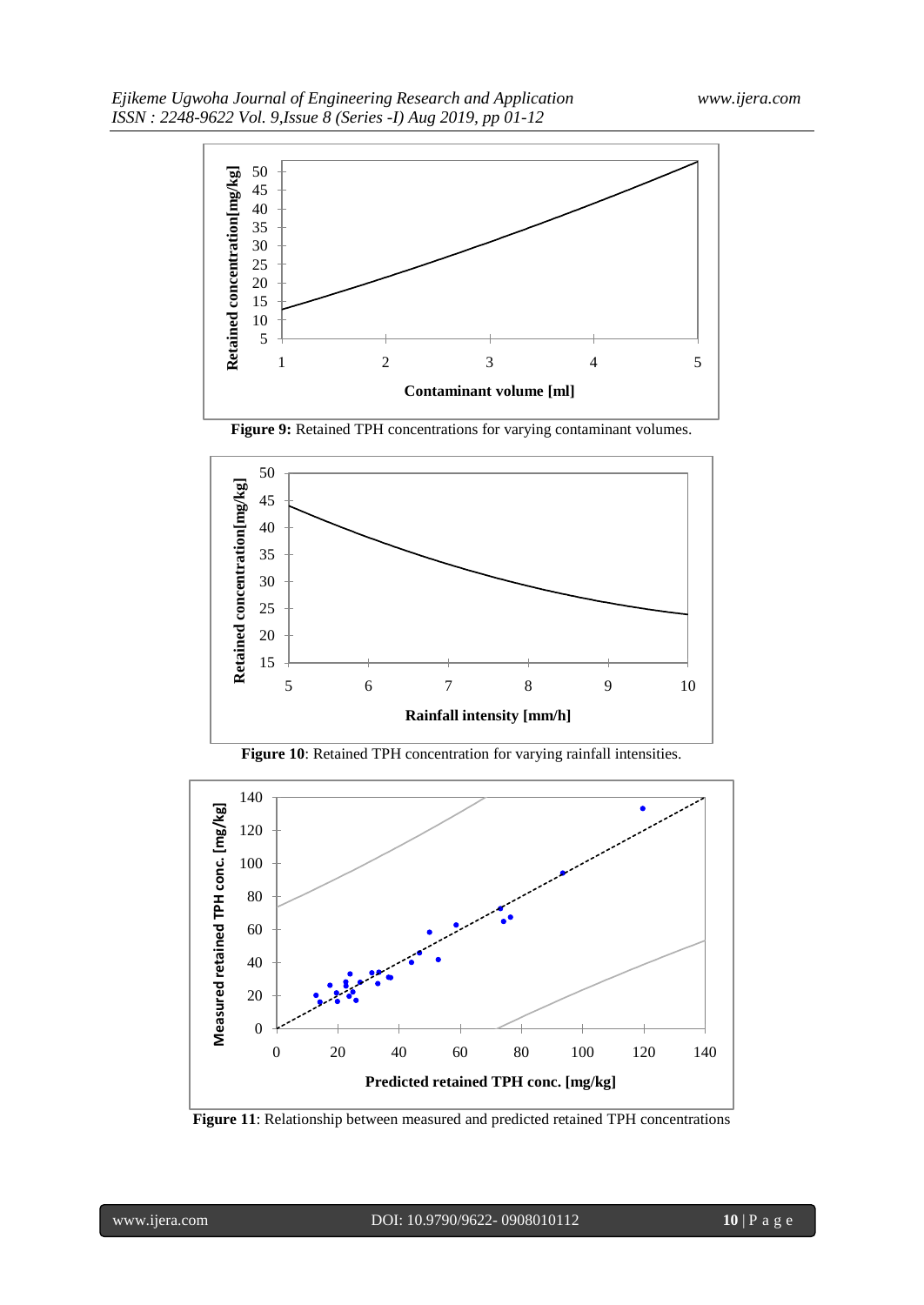

**Figure 9:** Retained TPH concentrations for varying contaminant volumes.







**Figure 11**: Relationship between measured and predicted retained TPH concentrations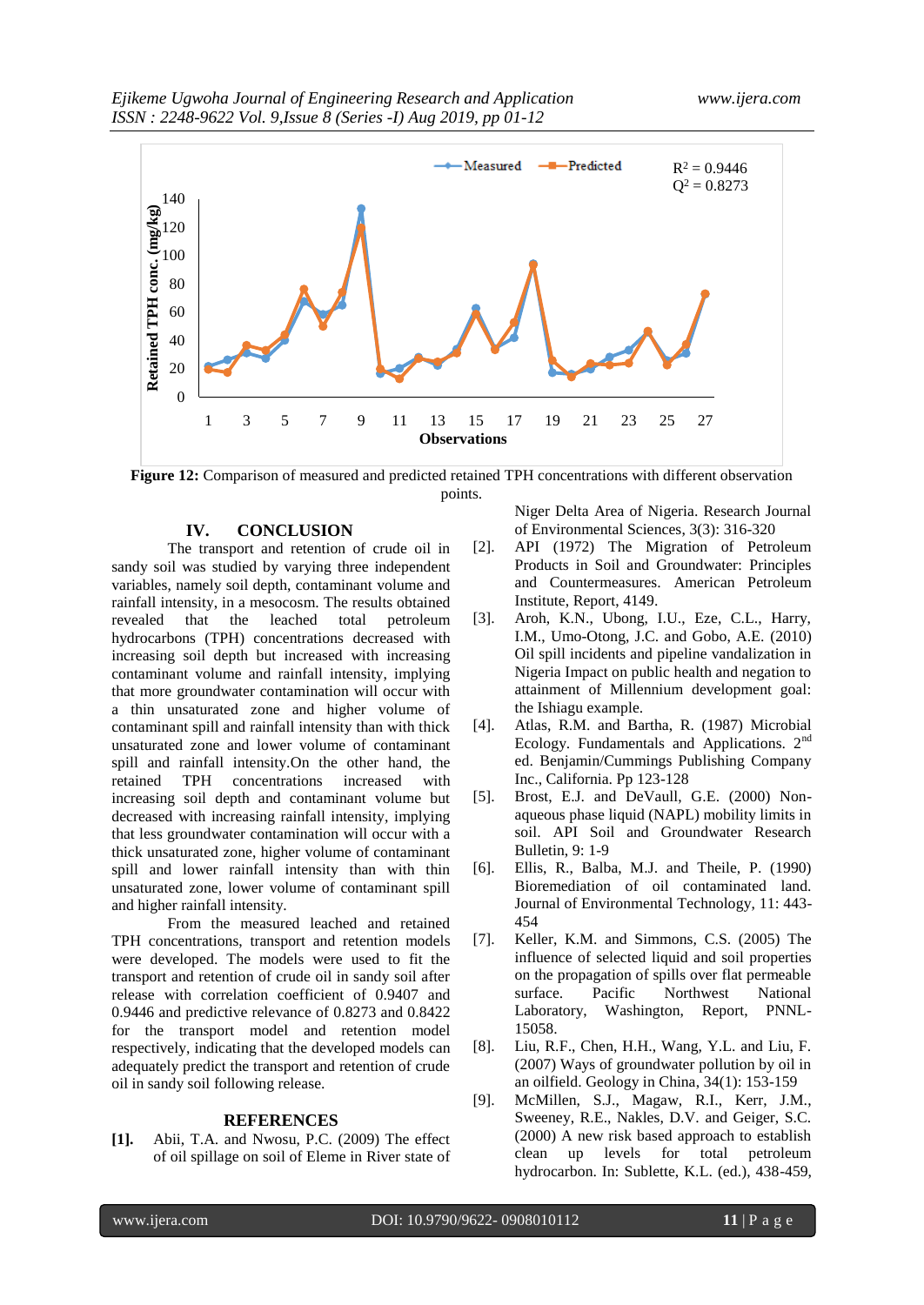

**Figure 12:** Comparison of measured and predicted retained TPH concentrations with different observation points.

#### **IV. CONCLUSION**

The transport and retention of crude oil in sandy soil was studied by varying three independent variables, namely soil depth, contaminant volume and rainfall intensity, in a mesocosm. The results obtained revealed that the leached total petroleum hydrocarbons (TPH) concentrations decreased with increasing soil depth but increased with increasing contaminant volume and rainfall intensity, implying that more groundwater contamination will occur with a thin unsaturated zone and higher volume of contaminant spill and rainfall intensity than with thick unsaturated zone and lower volume of contaminant spill and rainfall intensity.On the other hand, the retained TPH concentrations increased with increasing soil depth and contaminant volume but decreased with increasing rainfall intensity, implying that less groundwater contamination will occur with a thick unsaturated zone, higher volume of contaminant spill and lower rainfall intensity than with thin unsaturated zone, lower volume of contaminant spill and higher rainfall intensity.

From the measured leached and retained TPH concentrations, transport and retention models were developed. The models were used to fit the transport and retention of crude oil in sandy soil after release with correlation coefficient of 0.9407 and 0.9446 and predictive relevance of 0.8273 and 0.8422 for the transport model and retention model respectively, indicating that the developed models can adequately predict the transport and retention of crude oil in sandy soil following release.

#### **REFERENCES**

**[1].** Abii, T.A. and Nwosu, P.C. (2009) The effect of oil spillage on soil of Eleme in River state of Niger Delta Area of Nigeria. Research Journal of Environmental Sciences, 3(3): 316-320

- [2]. API (1972) The Migration of Petroleum Products in Soil and Groundwater: Principles and Countermeasures. American Petroleum Institute, Report, 4149.
- [3]. Aroh, K.N., Ubong, I.U., Eze, C.L., Harry, I.M., Umo-Otong, J.C. and Gobo, A.E. (2010) Oil spill incidents and pipeline vandalization in Nigeria Impact on public health and negation to attainment of Millennium development goal: the Ishiagu example.
- [4]. Atlas, R.M. and Bartha, R. (1987) Microbial Ecology. Fundamentals and Applications.  $2<sup>nd</sup>$ ed. Benjamin/Cummings Publishing Company Inc., California. Pp 123-128
- [5]. Brost, E.J. and DeVaull, G.E. (2000) Nonaqueous phase liquid (NAPL) mobility limits in soil. API Soil and Groundwater Research Bulletin, 9: 1-9
- [6]. Ellis, R., Balba, M.J. and Theile, P. (1990) Bioremediation of oil contaminated land. Journal of Environmental Technology, 11: 443- 454
- [7]. Keller, K.M. and Simmons, C.S. (2005) The influence of selected liquid and soil properties on the propagation of spills over flat permeable surface. Pacific Northwest National Laboratory, Washington, Report, PNNL-15058.
- [8]. Liu, R.F., Chen, H.H., Wang, Y.L. and Liu, F. (2007) Ways of groundwater pollution by oil in an oilfield. Geology in China, 34(1): 153-159
- [9]. McMillen, S.J., Magaw, R.I., Kerr, J.M., Sweeney, R.E., Nakles, D.V. and Geiger, S.C. (2000) A new risk based approach to establish clean up levels for total petroleum hydrocarbon. In: Sublette, K.L. (ed.), 438-459,